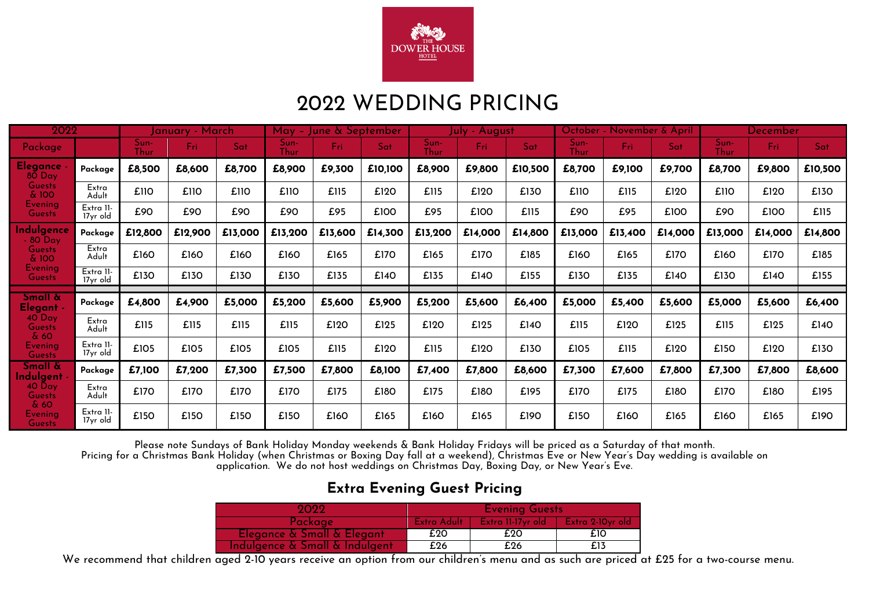

# 2022 WEDDING PRICING

| 2022                                             |                       | January - March |         |         |              | May – June & September |         | luly - August       |         |         |              | October - November & April |         | <b>December</b> |         |         |
|--------------------------------------------------|-----------------------|-----------------|---------|---------|--------------|------------------------|---------|---------------------|---------|---------|--------------|----------------------------|---------|-----------------|---------|---------|
| Package                                          |                       | Sun-<br>Thur    | Fri     | Sat     | Sun-<br>Thur | Fri:                   | Sat     | Sun-<br><b>Thur</b> | Fri:    | Sat     | Sun-<br>Thur | Fri:                       | Sat     | Sun-<br>Thur    | Fri.    | Sat     |
| <b>Elegance</b><br>$80$ Day                      | Package               | £8,500          | £8,600  | £8,700  | £8,900       | £9,300                 | £10,100 | £8,900              | £9,800  | £10,500 | £8,700       | £9,100                     | £9,700  | £8,700          | £9,800  | £10,500 |
| <b>Guests</b><br>& 100                           | Extra<br>Adult        | £110            | £110    | £110    | £110         | £115                   | £120    | £115                | £120    | £130    | £110         | £115                       | £120    | £110            | £120    | £130    |
| <b>Evening</b><br><b>Guests</b>                  | Extra 11-<br>17yr old | £90             | £90     | £90     | £90          | £95                    | £100    | £95                 | £100    | £115    | £90          | £95                        | £100    | £90             | £100    | £115    |
| Indulgence<br>$-80$ Day                          | Package               | £12,800         | £12,900 | £13,000 | £13,200      | £13,600                | £14,300 | £13,200             | £14,000 | £14,800 | £13,000      | £13,400                    | £14,000 | £13,000         | £14,000 | £14,800 |
| <b>Guests</b><br>& 100                           | Extra<br>Adult        | £160            | £160    | £160    | £160         | £165                   | £170    | £165                | £170    | £185    | £160         | £165                       | £170    | £160            | £170    | £185    |
| <b>Evening</b><br><b>Guests</b>                  | Extra 11-<br>17yr old | £130            | £130    | £130    | £130         | £135                   | £140    | £135                | £140    | £155    | £130         | £135                       | £140    | £130            | £140    | £155    |
| Small &<br>Elegant -                             | Package               | £4,800          | £4,900  | £5,000  | £5,200       | £5,600                 | £5,900  | £5,200              | £5,600  | £6,400  | £5,000       | £5,400                     | £5,600  | £5,000          | £5,600  | £6,400  |
| $40^{\circ}$ Day<br><b>Guests</b><br>$\delta$ 60 | Extra<br>Adult        | £115            | £115    | £115    | £115         | £120                   | £125    | £120                | £125    | £140    | £115         | £120                       | £125    | £115            | £125    | £140    |
| <b>Evening</b><br><b>Guests</b>                  | Extra II-<br>17yr old | £105            | £105    | £105    | £105         | £115                   | £120    | £115                | £120    | £130    | £105         | £115                       | £120    | £150            | £120    | £130    |
| <b>Small &amp;</b><br>Indulgent                  | Package               | £7,100          | £7,200  | £7,300  | £7,500       | £7,800                 | £8,100  | £7,400              | £7,800  | £8,600  | £7,300       | £7,600                     | £7,800  | £7,300          | £7,800  | £8,600  |
| 40 Day<br><b>Guests</b>                          | Extra<br>Adult        | £170            | £170    | £170    | £170         | £175                   | £180    | £175                | £180    | £195    | £170         | £175                       | £180    | £170            | £180    | £195    |
| & 60<br><b>Evening</b><br><b>Guests</b>          | Extra II-<br>17yr old | £150            | £150    | £150    | £150         | £160                   | £165    | £160                | £165    | £190    | £150         | £160                       | £165    | £160            | £165    | £190    |

Please note Sundays of Bank Holiday Monday weekends & Bank Holiday Fridays will be priced as a Saturday of that month.

Pricing for a Christmas Bank Holiday (when Christmas or Boxing Day fall at a weekend), Christmas Eve or New Year's Day wedding is available on application. We do not host weddings on Christmas Day, Boxing Day, or New Year's Eve.

#### **Extra Evening Guest Pricing**

| 2022                           | <b>Evening Guests</b> |                   |                    |  |  |  |  |
|--------------------------------|-----------------------|-------------------|--------------------|--|--|--|--|
| Package                        | Extra Adult           | Extra 11-17yr old | – Extra 2-10vr old |  |  |  |  |
| Elegance & Small & Elegant     | £20                   | £20               | £10                |  |  |  |  |
| Indulgence & Small & Indulgent | £26                   | £26               | £13                |  |  |  |  |

We recommend that children aged 2-10 years receive an option from our children's menu and as such are priced at £25 for a two-course menu.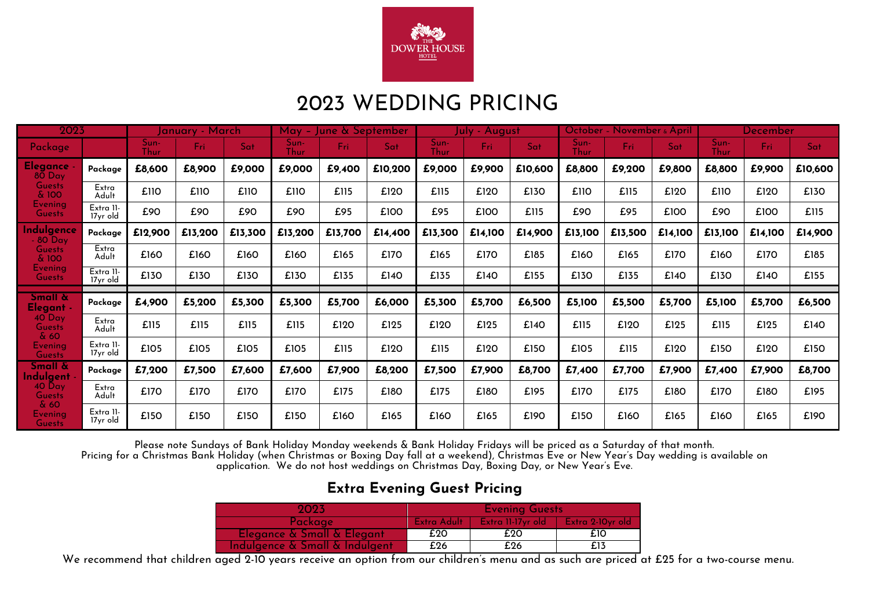

# 2023 WEDDING PRICING

| 2023                                  |                       | January - March |         | May -   | June & September |         | July - August. |              |         | October - November & April |                     |         | December |              |         |         |
|---------------------------------------|-----------------------|-----------------|---------|---------|------------------|---------|----------------|--------------|---------|----------------------------|---------------------|---------|----------|--------------|---------|---------|
| Package                               |                       | Sun-<br>Thur    | Fri     | Sat     | Sun-<br>Thur     | Fri:    | Sat            | Sun-<br>Thur | Fri:    | Sat                        | Sun-<br><b>Thur</b> | Fri:    | Sat      | Sun-<br>Thur | Fri     | Sat     |
| <b>Elegance</b><br>$80$ Day           | Package               | £8,600          | £8,900  | £9,000  | £9,000           | £9,400  | £10,200        | £9,000       | £9,900  | £10,600                    | £8,800              | £9,200  | £9,800   | £8,800       | £9,900  | £10,600 |
| <b>Guests</b><br>& 100                | Extra<br>Adult        | £110            | £110    | £110    | £110             | £115    | £120           | £115         | £120    | £130                       | £110                | £115    | £120     | £110         | £120    | £130    |
| <b>Evening</b><br><b>Guests</b>       | Extra II-<br>17yr old | £90             | £90     | £90     | £90              | £95     | £100           | £95          | £100    | £115                       | £90                 | £95     | £100     | £90          | £100    | £115    |
| ndulgence<br>$-80$ Day                | Package               | £12,900         | £13,200 | £13,300 | £13,200          | £13,700 | £14,400        | £13,300      | £14,100 | £14,900                    | £13,100             | £13,500 | £14,100  | £13,100      | £14,100 | £14,900 |
| <b>Guests</b><br>& 100                | Extra<br>Adult        | £160            | £160    | £160    | £160             | £165    | £170           | £165         | £170    | £185                       | £160                | £165    | £170     | £160         | £170    | £185    |
| Evening<br><b>Guests</b>              | Extra 11-<br>17yr old | £130            | £130    | £130    | £130             | £135    | £140           | £135         | £140    | £155                       | £130                | £135    | £140     | £130         | £140    | £155    |
| <b>Small &amp;</b><br>Elegant -       | Package               | £4,900          | £5,200  | £5,300  | £5,300           | £5,700  | £6,000         | £5,300       | £5,700  | £6,500                     | £5,100              | £5,500  | £5,700   | £5,100       | £5,700  | £6,500  |
| $40$ Day<br><b>Guests</b><br>$\&60$   | Extra<br>Adult        | £115            | £115    | £115    | £115             | £120    | £125           | £120         | £125    | £140                       | £115                | £120    | £125     | £115         | £125    | £140    |
| Evening<br><b>Guests</b>              | Extra II-<br>17yr old | £105            | £105    | £105    | £105             | £115    | £120           | £115         | £120    | £150                       | £105                | £115    | £120     | £150         | £120    | £150    |
| <b>Small &amp;</b><br><b>ndulgent</b> | Package               | £7,200          | £7,500  | £7,600  | £7,600           | £7,900  | £8,200         | £7,500       | £7,900  | £8,700                     | £7,400              | £7,700  | £7,900   | £7,400       | £7,900  | £8,700  |
| 40 Day<br><b>Guests</b>               | Extra<br>Adult        | £170            | £170    | £170    | £170             | £175    | £180           | £175         | £180    | £195                       | £170                | £175    | £180     | £170         | £180    | £195    |
| & 60<br>Evening<br><b>Guests</b>      | Extra II-<br>17yr old | £150            | £150    | £150    | £150             | £160    | £165           | £160         | £165    | £190                       | £150                | £160    | £165     | £160         | £165    | £190    |

Please note Sundays of Bank Holiday Monday weekends & Bank Holiday Fridays will be priced as a Saturday of that month.

Pricing for a Christmas Bank Holiday (when Christmas or Boxing Day fall at a weekend), Christmas Eve or New Year's Day wedding is available on application. We do not host weddings on Christmas Day, Boxing Day, or New Year's Eve.

#### **Extra Evening Guest Pricing**

| 2023                           | <b>Evening Guests</b> |                   |                    |  |  |  |  |
|--------------------------------|-----------------------|-------------------|--------------------|--|--|--|--|
| Package                        | Extra Adult           | Extra 11-17yr old | – Extra 2-10vr old |  |  |  |  |
| Elegance & Small & Elegant     | £20                   | £20               | £10                |  |  |  |  |
| Indulgence & Small & Indulgent | £26                   | £26               | £13                |  |  |  |  |

We recommend that children aged 2-10 years receive an option from our children's menu and as such are priced at £25 for a two-course menu.